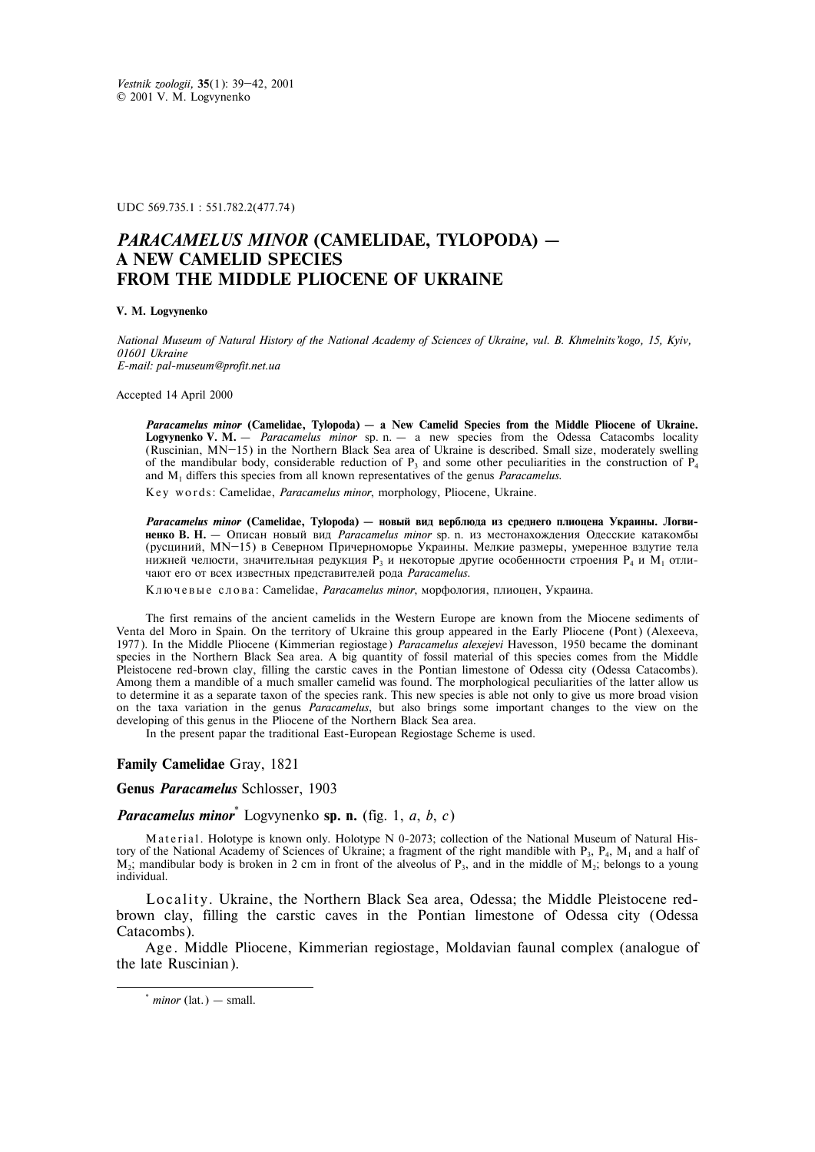UDC 569.735.1 : 551.782.2(477.74)

## *PARACAMELUS MINOR* **(CAMELIDAE, TYLOPODA) – A NEW CAMELID SPECIES FROM THE MIDDLE PLIOCENE OF UKRAINE**

## **V. M. Logvynenko**

*National Museum of Natural History of the National Academy of Sciences of Ukraine, vul. B. Khmelnits'kogo, 15, Kyiv, 01601 Ukraine E-mail: pal-museum@profit.net.ua* 

Accepted 14 April 2000

*Paracamelus minor* **(Camelidae, Tylopoda) – a New Camelid Species from the Middle Pliocene of Ukraine. Logvynenko V. M.** – *Paracamelus minor* sp. n. – a new species from the Odessa Catacombs locality (Ruscinian, MN—15) in the Northern Black Sea area of Ukraine is described. Small size, moderately swelling of the mandibular body, considerable reduction of  $P_3$  and some other peculiarities in the construction of  $P_4$ and M1 differs this species from all known representatives of the genus *Paracamelus*.

K e y w o r d s : Camelidae, *Paracamelus minor*, morphology, Pliocene, Ukraine.

*Paracamelus minor* (Camelidae, Tylopoda) — новый вид верблюда из среднего плиоцена Украины. Логви**ненко В. Н.** – Описан новый вид *Paracamelus minor* sp. n. из местонахождения Одесские катакомбы (русциний, MN-15) в Северном Причерноморье Украины. Мелкие размеры, умеренное вздутие тела нижней челюсти, значительная редукция Р<sub>3</sub> и некоторые другие особенности строения Р<sub>4</sub> и  $M<sub>1</sub>$  отличают его от всех известных представителей рода Paracamelus.

Ключевые слова: Camelidae, Paracamelus minor, морфология, плиоцен, Украина.

The first remains of the ancient camelids in the Western Europe are known from the Miocene sediments of Venta del Moro in Spain. On the territory of Ukraine this group appeared in the Early Pliocene (Pont) (Alexeeva, 1977). In the Middle Pliocene (Kimmerian regiostage) *Paracamelus alexejevi* Havesson, 1950 became the dominant species in the Northern Black Sea area. A big quantity of fossil material of this species comes from the Middle Pleistocene red-brown clay, filling the carstic caves in the Pontian limestone of Odessa city (Odessa Catacombs). Among them a mandible of a much smaller camelid was found. The morphological peculiarities of the latter allow us to determine it as a separate taxon of the species rank. This new species is able not only to give us more broad vision on the taxa variation in the genus *Paracamelus*, but also brings some important changes to the view on the developing of this genus in the Pliocene of the Northern Black Sea area.

In the present papar the traditional East-European Regiostage Scheme is used.

## **Family Camelidae** Gray, 1821

**Genus** *Paracamelus* Schlosser, 1903

*Paracamelus minor*\* Logvynenko **sp. n.** (fig. 1, *a*, *b*, *c*)

Material. Holotype is known only. Holotype N 0-2073; collection of the National Museum of Natural History of the National Academy of Sciences of Ukraine; a fragment of the right mandible with  $P_3$ ,  $P_4$ ,  $M_1$  and a half of M<sub>2</sub>; mandibular body is broken in 2 cm in front of the alveolus of P<sub>3</sub>, and in the middle of M<sub>2</sub>; belongs to a young individual.

Locality. Ukraine, the Northern Black Sea area, Odessa; the Middle Pleistocene redbrown clay, filling the carstic caves in the Pontian limestone of Odessa city (Odessa Catacombs).

Age. Middle Pliocene, Kimmerian regiostage, Moldavian faunal complex (analogue of the late Ruscinian).

-

 $*$  *minor* (lat.) — small.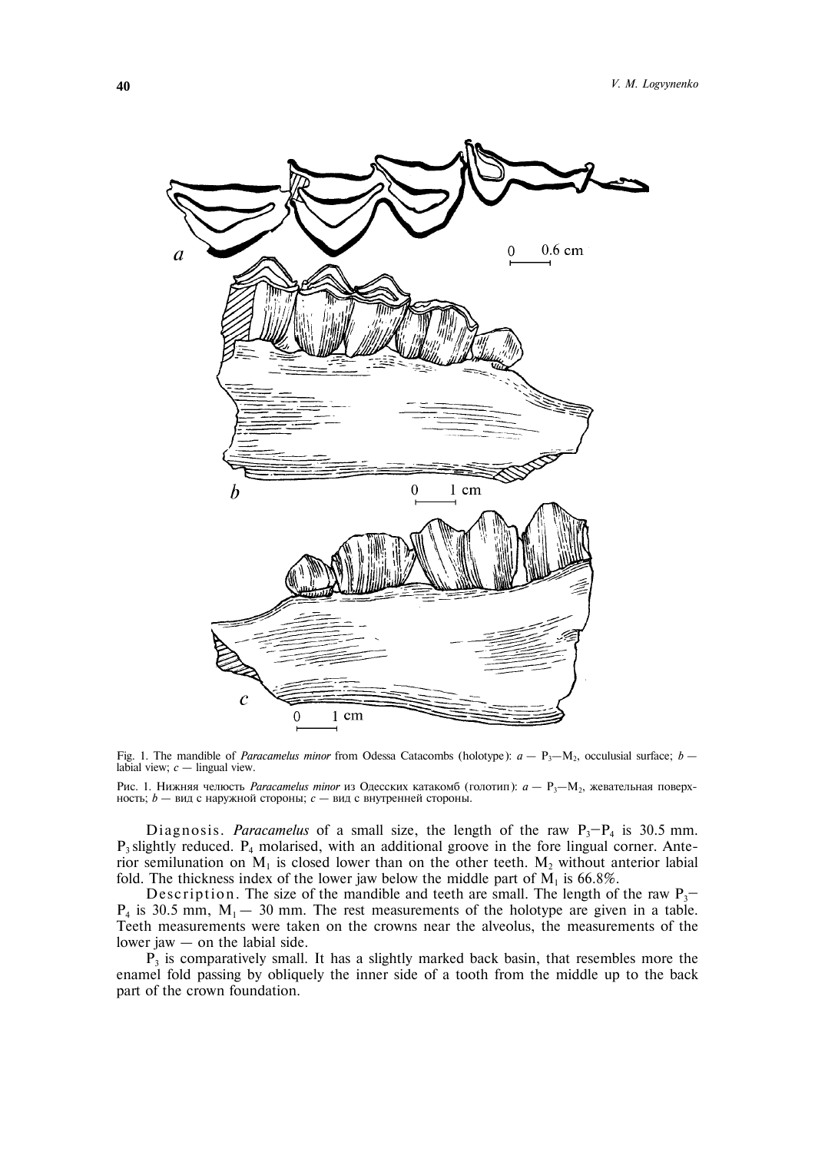

Fig. 1. The mandible of *Paracamelus minor* from Odessa Catacombs (holotype):  $a - P_3 - M_2$ , occulusial surface;  $b$ labial view;  $c$  – lingual view.

Рис. 1. Нижняя челюсть Paracamelus minor из Одесских катакомб (голотип):  $a - P_3 - M_2$ , жевательная поверхность; *b* – вид с наружной стороны; *c* – вид с внутренней стороны.

Diagnosis. *Paracamelus* of a small size, the length of the raw  $P_3-P_4$  is 30.5 mm.  $P_3$  slightly reduced.  $P_4$  molarised, with an additional groove in the fore lingual corner. Anterior semilunation on  $M_1$  is closed lower than on the other teeth.  $M_2$  without anterior labial fold. The thickness index of the lower jaw below the middle part of  $M<sub>1</sub>$  is 66.8%.

Description. The size of the mandible and teeth are small. The length of the raw  $P_3$ —  $P_4$  is 30.5 mm,  $M_1 - 30$  mm. The rest measurements of the holotype are given in a table. Teeth measurements were taken on the crowns near the alveolus, the measurements of the lower jaw – on the labial side.

 $P_3$  is comparatively small. It has a slightly marked back basin, that resembles more the enamel fold passing by obliquely the inner side of a tooth from the middle up to the back part of the crown foundation.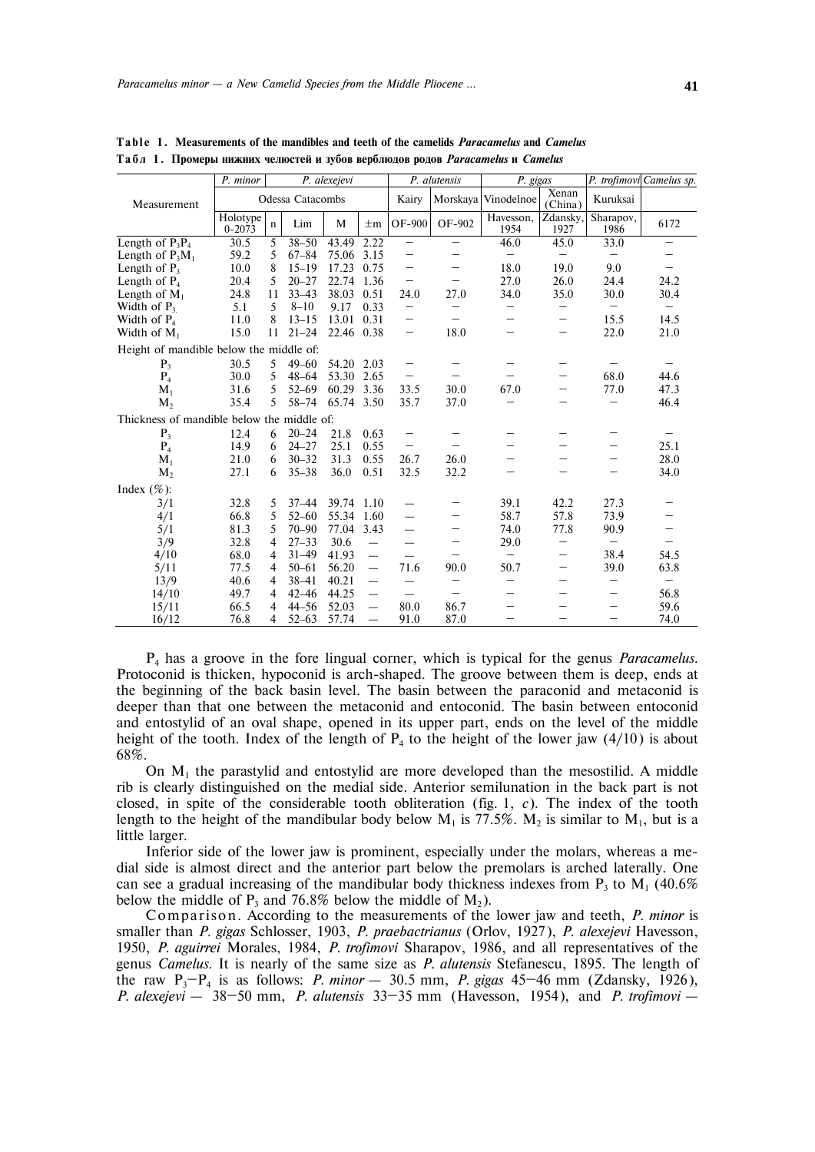|                                            | P. minor<br>P. alexejevi |                |           |            | P. alutensis             |                          | P. gigas          |                     | P. trofimovi Camelus sp. |                          |                   |
|--------------------------------------------|--------------------------|----------------|-----------|------------|--------------------------|--------------------------|-------------------|---------------------|--------------------------|--------------------------|-------------------|
| Measurement                                | Odessa Catacombs         |                |           |            |                          | Kairy                    |                   | Morskaya Vinodelnoe | Xenan<br>(China)         | Kuruksai                 |                   |
|                                            | Holotype<br>$0 - 2073$   | $\mathbf n$    | Lim       | M          | $\pm$ m                  | OF-900                   | OF-902            | Havesson,<br>1954   | Zdansky,<br>1927         | Sharapov,<br>1986        | 6172              |
| Length of $P_3P_4$                         | 30.5                     | 5              | $38 - 50$ | 43.49      | 2.22                     | $\overline{\phantom{0}}$ |                   | 46.0                | 45.0                     | 33.0                     |                   |
| Length of $P_3M_1$                         | 59.2                     | 5              | $67 - 84$ | 75.06      | 3.15                     | —                        | —                 | $\qquad \qquad -$   | $\overline{\phantom{m}}$ |                          |                   |
| Length of $P_3$                            | 10.0                     | 8              | $15 - 19$ | 17.23      | 0.75                     |                          | —                 | 18.0                | 19.0                     | 9.0                      |                   |
| Length of $P_4$                            | 20.4                     | 5              | $20 - 27$ | 22.74      | 1.36                     | -                        | $\qquad \qquad -$ | 27.0                | 26.0                     | 24.4                     | 24.2              |
| Length of $M_1$                            | 24.8                     | 11             | $33 - 43$ | 38.03      | 0.51                     | 24.0                     | 27.0              | 34.0                | 35.0                     | 30.0                     | 30.4              |
| Width of $P_3$                             | 5.1                      | 5              | $8 - 10$  | 9.17       | 0.33                     | —                        |                   |                     | $\qquad \qquad -$        | $\overline{\phantom{m}}$ | $\qquad \qquad -$ |
| Width of $P_4$                             | 11.0                     | 8              | $13 - 15$ | 13.01      | 0.31                     | —                        |                   |                     | $\qquad \qquad -$        | 15.5                     | 14.5              |
| Width of $M_1$                             | 15.0                     | 11             | $21 - 24$ | 22.46 0.38 |                          | —                        | 18.0              |                     |                          | 22.0                     | 21.0              |
| Height of mandible below the middle of:    |                          |                |           |            |                          |                          |                   |                     |                          |                          |                   |
| P <sub>3</sub>                             | 30.5                     | 5              | $49 - 60$ | 54.20      | 2.03                     | —                        |                   |                     | $\qquad \qquad -$        |                          |                   |
| $P_4$                                      | 30.0                     | 5              | $48 - 64$ | 53.30      | 2.65                     | —                        |                   |                     | $\qquad \qquad -$        | 68.0                     | 44.6              |
| $M_{1}$                                    | 31.6                     | 5              | $52 - 69$ | 60.29      | 3.36                     | 33.5                     | 30.0              | 67.0                | $\qquad \qquad -$        | 77.0                     | 47.3              |
| $M_{2}$                                    | 35.4                     | 5              | $58 - 74$ | 65.74      | 3.50                     | 35.7                     | 37.0              |                     |                          |                          | 46.4              |
| Thickness of mandible below the middle of: |                          |                |           |            |                          |                          |                   |                     |                          |                          |                   |
| P <sub>3</sub>                             | 12.4                     | 6              | $20 - 24$ | 21.8       | 0.63                     | $\qquad \qquad -$        |                   |                     |                          |                          |                   |
| $P_4$                                      | 14.9                     | 6              | $24 - 27$ | 25.1       | 0.55                     | $\qquad \qquad -$        |                   |                     | $\qquad \qquad$          |                          | 25.1              |
| $M_1$                                      | 21.0                     | 6              | $30 - 32$ | 31.3       | 0.55                     | 26.7                     | 26.0              |                     | $\overline{\phantom{m}}$ | $\qquad \qquad$          | 28.0              |
| $M_{2}$                                    | 27.1                     | 6              | $35 - 38$ | 36.0       | 0.51                     | 32.5                     | 32.2              |                     | $\qquad \qquad$          | $\qquad \qquad$          | 34.0              |
| Index $(\% )$ :                            |                          |                |           |            |                          |                          |                   |                     |                          |                          |                   |
| 3/1                                        | 32.8                     | 5              | $37 - 44$ | 39.74      | 1.10                     |                          |                   | 39.1                | 42.2                     | 27.3                     |                   |
| 4/1                                        | 66.8                     | 5              | $52 - 60$ | 55.34      | 1.60                     |                          | —                 | 58.7                | 57.8                     | 73.9                     |                   |
| 5/1                                        | 81.3                     | 5              | $70 - 90$ | 77.04      | 3.43                     | —                        | —                 | 74.0                | 77.8                     | 90.9                     |                   |
| 3/9                                        | 32.8                     | $\overline{4}$ | $27 - 33$ | 30.6       | $\overline{\phantom{0}}$ |                          |                   | 29.0                | $\qquad \qquad -$        | $\overline{\phantom{m}}$ |                   |
| 4/10                                       | 68.0                     | 4              | $31 - 49$ | 41.93      | $\overline{\phantom{0}}$ |                          |                   | —                   | $\qquad \qquad -$        | 38.4                     | 54.5              |
| 5/11                                       | 77.5                     | $\overline{4}$ | $50 - 61$ | 56.20      | $\overline{\phantom{0}}$ | 71.6                     | 90.0              | 50.7                | $\qquad \qquad -$        | 39.0                     | 63.8              |
| 13/9                                       | 40.6                     | 4              | $38 - 41$ | 40.21      | $\overline{\phantom{0}}$ | $\overline{\phantom{0}}$ | $\qquad \qquad -$ |                     | $\qquad \qquad -$        | $\qquad \qquad -$        | $\qquad \qquad -$ |
| 14/10                                      | 49.7                     | $\overline{4}$ | $42 - 46$ | 44.25      | $\overline{\phantom{0}}$ | $\overline{\phantom{0}}$ |                   |                     | $\qquad \qquad$          | $\qquad \qquad -$        | 56.8              |
| 15/11                                      | 66.5                     | $\overline{4}$ | $44 - 56$ | 52.03      | $\equiv$                 | 80.0                     | 86.7              |                     | -                        |                          | 59.6              |
| 16/12                                      | 76.8                     | $\overline{4}$ | $52 - 63$ | 57.74      | $\qquad \qquad$          | 91.0                     | 87.0              |                     | $\qquad \qquad -$        | —                        | 74.0              |
|                                            |                          |                |           |            |                          |                          |                   |                     |                          |                          |                   |

**T a b l e 1 . Measurements of the mandibles and teeth of the camelids** *Paracamelus* **and** *Camelus* **Ò à á ë 1 . Ïðîìåðû íèæíèõ ÷åëþñòåé è çóáîâ âåðáëþäîâ ðîäîâ** *Paracamelus* **è** *Camelus*

P4 has a groove in the fore lingual corner, which is typical for the genus *Paracamelus*. Protoconid is thicken, hypoconid is arch-shaped. The groove between them is deep, ends at the beginning of the back basin level. The basin between the paraconid and metaconid is deeper than that one between the metaconid and entoconid. The basin between entoconid and entostylid of an oval shape, opened in its upper part, ends on the level of the middle height of the tooth. Index of the length of  $P_4$  to the height of the lower jaw (4/10) is about 68%.

On  $M<sub>1</sub>$  the parastylid and entostylid are more developed than the mesostilid. A middle rib is clearly distinguished on the medial side. Anterior semilunation in the back part is not closed, in spite of the considerable tooth obliteration (fig. 1, *c*). The index of the tooth length to the height of the mandibular body below  $M_1$  is 77.5%.  $M_2$  is similar to  $M_1$ , but is a little larger.

Inferior side of the lower jaw is prominent, especially under the molars, whereas a medial side is almost direct and the anterior part below the premolars is arched laterally. One can see a gradual increasing of the mandibular body thickness indexes from  $P_3$  to  $M_1$  (40.6%) below the middle of  $P_3$  and 76.8% below the middle of  $M_2$ ).

Comparison. According to the measurements of the lower jaw and teeth, *P. minor* is smaller than *P. gigas* Schlosser, 1903, *P. praebactrianus* (Orlov, 1927), *P. alexejevi* Havesson, 1950, *P. aguirrei* Morales, 1984, *P. trofimovi* Sharapov, 1986, and all representatives of the genus *Camelus*. It is nearly of the same size as *P. alutensis* Stefanescu, 1895. The length of the raw  $P_3-P_4$  is as follows: *P. minor* – 30.5 mm, *P. gigas* 45–46 mm (Zdansky, 1926), *P. alexejevi* – 38—50 mm, *P. alutensis* 33—35 mm (Havesson, 1954), and *P. trofimovi* –